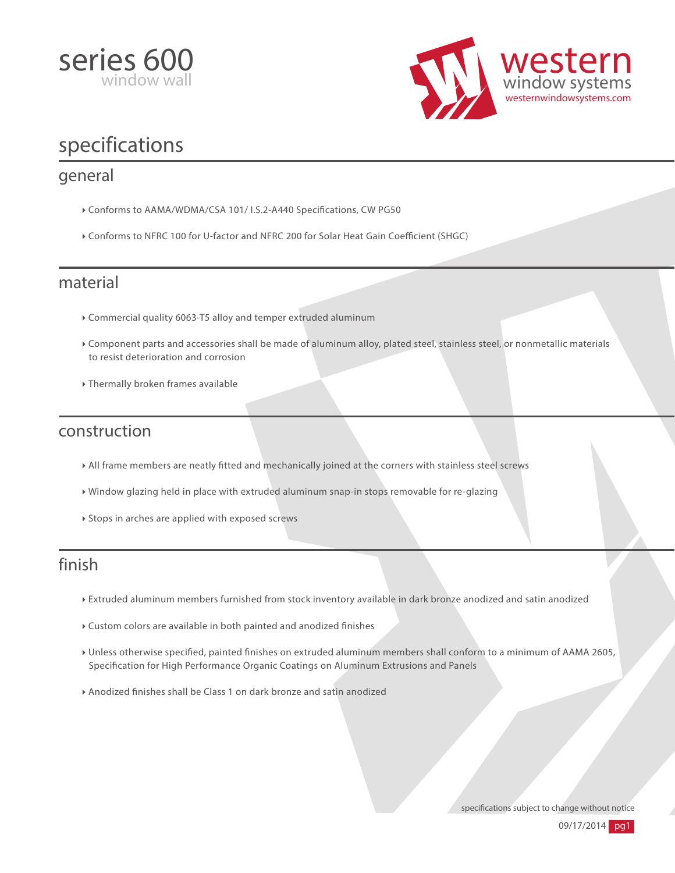



# specifications

#### general

- Conforms to AAMA/WDMA/CSA 101/ I.S.2-A440 Specifications, CW PG50
- $\triangleright$  Conforms to NFRC 100 for U-factor and NFRC 200 for Solar Heat Gain Coefficient (SHGC)

#### material

- Commercial quality 6063-T5 alloy and temper extruded aluminum
- Component parts and accessories shall be made of aluminum alloy, plated steel, stainless steel, or nonmetallic materials to resist deterioration and corrosion
- Thermally broken frames available

#### construction

- All frame members are neatly tted and mechanically joined at the corners with stainless steel screws
- Window glazing held in place with extruded aluminum snap-in stops removable for re-glazing
- Stops in arches are applied with exposed screws

### finish

- Extruded aluminum members furnished from stock inventory available in dark bronze anodized and satin anodized
- Custom colors are available in both painted and anodized finishes
- ▶ Unless otherwise specified, painted finishes on extruded aluminum members shall conform to a minimum of AAMA 2605, Specification for High Performance Organic Coatings on Aluminum Extrusions and Panels
- Anodized finishes shall be Class 1 on dark bronze and satin anodized

specifications subject to change without notice